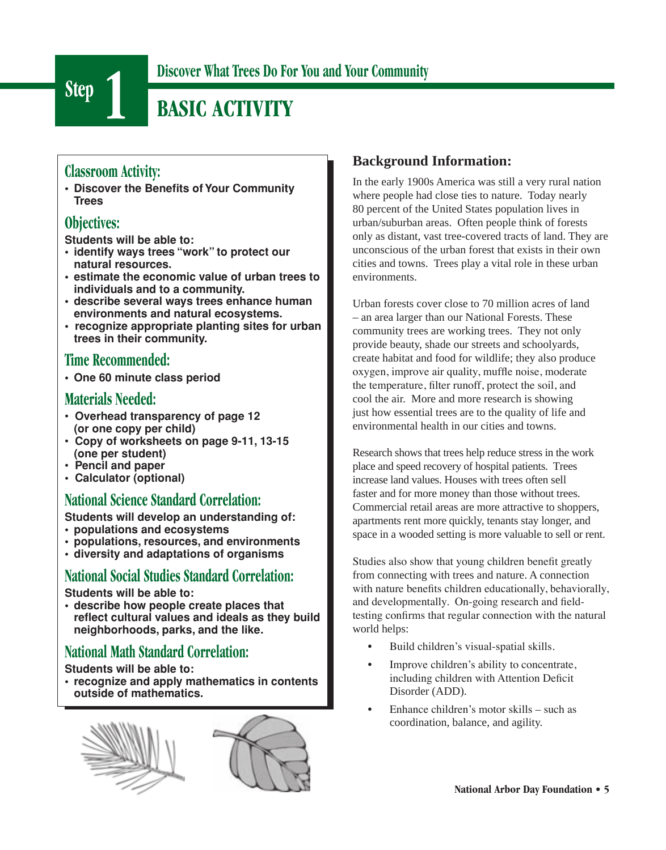

# **Step 1 Discover What Trees Do For You and Your Community**

# **BASIC ACTIVITY**

## **Classroom Activity:**

**• Discover the Benefits of Your Community Trees**

## **Objectives:**

**Students will be able to:**

- **• identify ways trees "work" to protect our natural resources.**
- **• estimate the economic value of urban trees to individuals and to a community.**
- **• describe several ways trees enhance human environments and natural ecosystems.**
- **recognize appropriate planting sites for urban trees in their community.**

## **Time Recommended:**

**• One 60 minute class period**

### **Materials Needed:**

- **Overhead transparency of page 12 (or one copy per child)**
- **Copy of worksheets on page 9-11, 13-15 (one per student)**
- **Pencil and paper**
- **Calculator (optional)**

## **National Science Standard Correlation:**

**Students will develop an understanding of:**

- **populations and ecosystems**
- **populations, resources, and environments**
- **diversity and adaptations of organisms**

## **National Social Studies Standard Correlation:**

**Students will be able to:** 

**• describe how people create places that reflect cultural values and ideals as they build neighborhoods, parks, and the like.**

## **National Math Standard Correlation:**

**Students will be able to:** 

**• recognize and apply mathematics in contents outside of mathematics.**



### **Background Information:**

In the early 1900s America was still a very rural nation where people had close ties to nature. Today nearly 80 percent of the United States population lives in urban/suburban areas. Often people think of forests only as distant, vast tree-covered tracts of land. They are unconscious of the urban forest that exists in their own cities and towns. Trees play a vital role in these urban environments.

Urban forests cover close to 70 million acres of land – an area larger than our National Forests. These community trees are working trees. They not only provide beauty, shade our streets and schoolyards, create habitat and food for wildlife; they also produce oxygen, improve air quality, muffle noise, moderate the temperature, filter runoff, protect the soil, and cool the air. More and more research is showing just how essential trees are to the quality of life and environmental health in our cities and towns.

Research shows that trees help reduce stress in the work place and speed recovery of hospital patients. Trees increase land values. Houses with trees often sell faster and for more money than those without trees. Commercial retail areas are more attractive to shoppers, apartments rent more quickly, tenants stay longer, and space in a wooded setting is more valuable to sell or rent.

Studies also show that young children benefit greatly from connecting with trees and nature. A connection with nature benefits children educationally, behaviorally, and developmentally. On-going research and fieldtesting confirms that regular connection with the natural world helps:

- Build children's visual-spatial skills.
- Improve children's ability to concentrate, including children with Attention Deficit Disorder (ADD).
- Enhance children's motor skills such as coordination, balance, and agility.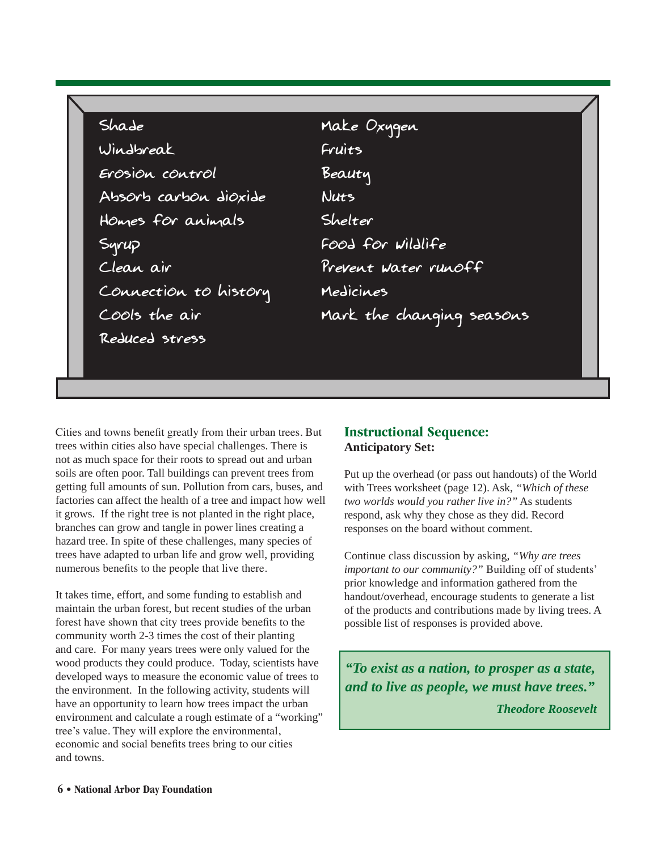| Shade                 | Make Oxygen               |
|-----------------------|---------------------------|
| Windbreak             | Fruits                    |
| Erosion control       | Beauty                    |
| Absorb carbon dioxide | Nuts                      |
| Homes for animals     | Shelter                   |
| Syrup                 | Food for <i>Wildlife</i>  |
| Clean air             | Prevent Water runoff      |
| Connection to history | Medicines                 |
| Cools the air         | Mark the changing seasons |
| Reduced stress        |                           |
|                       |                           |
|                       |                           |

Cities and towns benefit greatly from their urban trees. But trees within cities also have special challenges. There is not as much space for their roots to spread out and urban soils are often poor. Tall buildings can prevent trees from getting full amounts of sun. Pollution from cars, buses, and factories can affect the health of a tree and impact how well it grows. If the right tree is not planted in the right place, branches can grow and tangle in power lines creating a hazard tree. In spite of these challenges, many species of trees have adapted to urban life and grow well, providing numerous benefits to the people that live there.

It takes time, effort, and some funding to establish and maintain the urban forest, but recent studies of the urban forest have shown that city trees provide benefits to the community worth 2-3 times the cost of their planting and care. For many years trees were only valued for the wood products they could produce. Today, scientists have developed ways to measure the economic value of trees to the environment. In the following activity, students will have an opportunity to learn how trees impact the urban environment and calculate a rough estimate of a "working" tree's value. They will explore the environmental, economic and social benefits trees bring to our cities and towns.

### **Instructional Sequence: Anticipatory Set:**

Put up the overhead (or pass out handouts) of the World with Trees worksheet (page 12). Ask, *"Which of these two worlds would you rather live in?"* As students respond, ask why they chose as they did. Record responses on the board without comment.

Continue class discussion by asking, *"Why are trees important to our community?"* Building off of students' prior knowledge and information gathered from the handout/overhead, encourage students to generate a list of the products and contributions made by living trees. A possible list of responses is provided above.

*"To exist as a nation, to prosper as a state, and to live as people, we must have trees." Theodore Roosevelt*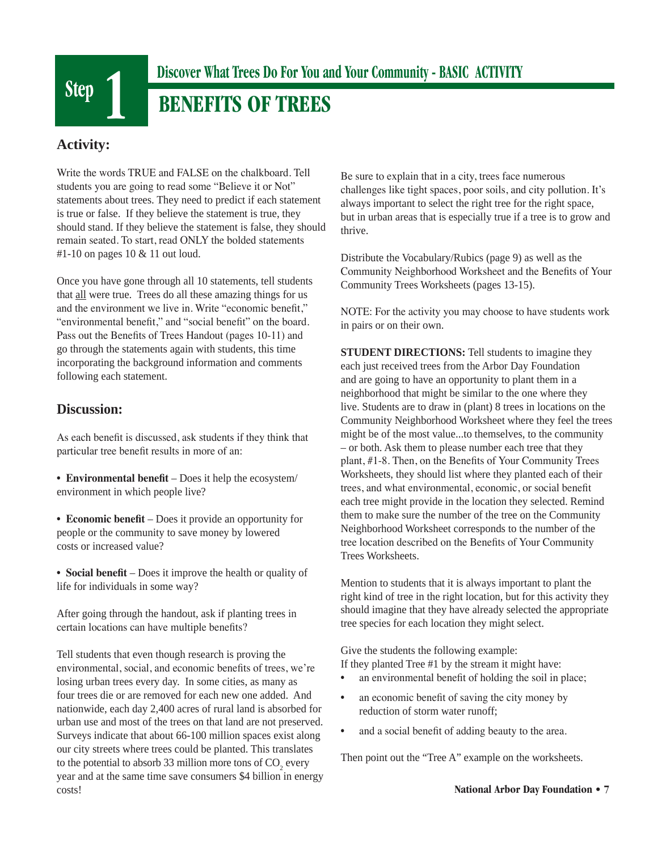

## **BENEFITS OF TREES**

### **Activity:**

Write the words TRUE and FALSE on the chalkboard. Tell students you are going to read some "Believe it or Not" statements about trees. They need to predict if each statement is true or false. If they believe the statement is true, they should stand. If they believe the statement is false, they should remain seated. To start, read ONLY the bolded statements #1-10 on pages 10 & 11 out loud.

Once you have gone through all 10 statements, tell students that all were true. Trees do all these amazing things for us and the environment we live in. Write "economic benefit," "environmental benefit," and "social benefit" on the board. Pass out the Benefits of Trees Handout (pages 10-11) and go through the statements again with students, this time incorporating the background information and comments following each statement.

### **Discussion:**

As each benefit is discussed, ask students if they think that particular tree benefit results in more of an:

• **Environmental benefit** – Does it help the ecosystem/ environment in which people live?

• **Economic benefit** – Does it provide an opportunity for people or the community to save money by lowered costs or increased value?

• **Social benefit** – Does it improve the health or quality of life for individuals in some way?

After going through the handout, ask if planting trees in certain locations can have multiple benefits?

Tell students that even though research is proving the environmental, social, and economic benefits of trees, we're losing urban trees every day. In some cities, as many as four trees die or are removed for each new one added. And nationwide, each day 2,400 acres of rural land is absorbed for urban use and most of the trees on that land are not preserved. Surveys indicate that about 66-100 million spaces exist along our city streets where trees could be planted. This translates to the potential to absorb 33 million more tons of  $CO_2$  every year and at the same time save consumers \$4 billion in energy costs!

Be sure to explain that in a city, trees face numerous challenges like tight spaces, poor soils, and city pollution. It's always important to select the right tree for the right space, but in urban areas that is especially true if a tree is to grow and thrive.

Distribute the Vocabulary/Rubics (page 9) as well as the Community Neighborhood Worksheet and the Benefits of Your Community Trees Worksheets (pages 13-15).

NOTE: For the activity you may choose to have students work in pairs or on their own.

**STUDENT DIRECTIONS:** Tell students to imagine they each just received trees from the Arbor Day Foundation and are going to have an opportunity to plant them in a neighborhood that might be similar to the one where they live. Students are to draw in (plant) 8 trees in locations on the Community Neighborhood Worksheet where they feel the trees might be of the most value...to themselves, to the community – or both. Ask them to please number each tree that they plant, #1-8. Then, on the Benefits of Your Community Trees Worksheets, they should list where they planted each of their trees, and what environmental, economic, or social benefit each tree might provide in the location they selected. Remind them to make sure the number of the tree on the Community Neighborhood Worksheet corresponds to the number of the tree location described on the Benefits of Your Community Trees Worksheets.

Mention to students that it is always important to plant the right kind of tree in the right location, but for this activity they should imagine that they have already selected the appropriate tree species for each location they might select.

Give the students the following example: If they planted Tree #1 by the stream it might have:

- an environmental benefit of holding the soil in place;
- an economic benefit of saving the city money by reduction of storm water runoff;
- and a social benefit of adding beauty to the area.

Then point out the "Tree A" example on the worksheets.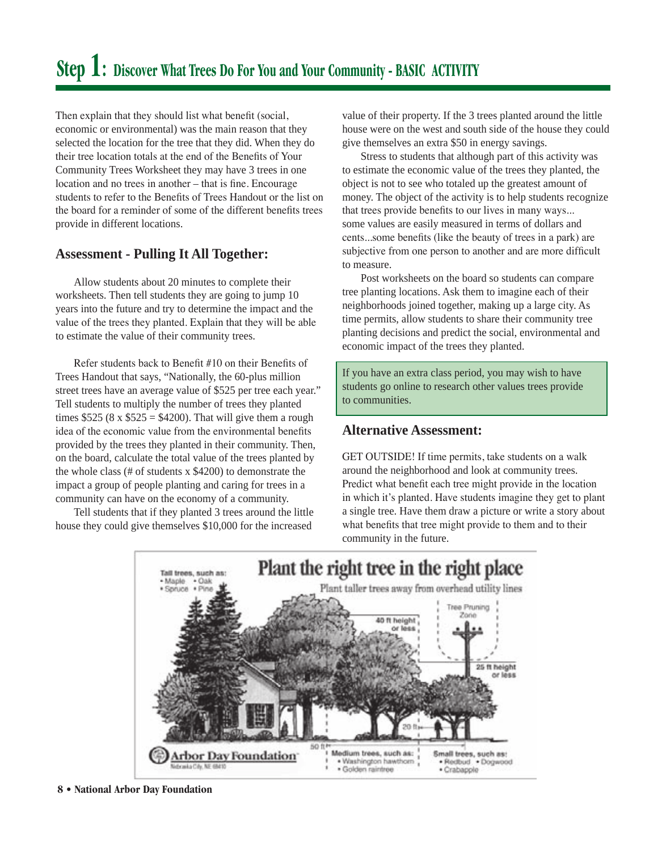Then explain that they should list what benefit (social, economic or environmental) was the main reason that they selected the location for the tree that they did. When they do their tree location totals at the end of the Benefits of Your Community Trees Worksheet they may have 3 trees in one location and no trees in another – that is fine. Encourage students to refer to the Benefits of Trees Handout or the list on the board for a reminder of some of the different benefits trees provide in different locations.

### **Assessment - Pulling It All Together:**

Allow students about 20 minutes to complete their worksheets. Then tell students they are going to jump 10 years into the future and try to determine the impact and the value of the trees they planted. Explain that they will be able to estimate the value of their community trees.

Refer students back to Benefit #10 on their Benefits of Trees Handout that says, "Nationally, the 60-plus million street trees have an average value of \$525 per tree each year." Tell students to multiply the number of trees they planted times  $$525 (8 \times $525 = $4200)$ . That will give them a rough idea of the economic value from the environmental benefits provided by the trees they planted in their community. Then, on the board, calculate the total value of the trees planted by the whole class (# of students x \$4200) to demonstrate the impact a group of people planting and caring for trees in a community can have on the economy of a community.

Tell students that if they planted 3 trees around the little house they could give themselves \$10,000 for the increased

value of their property. If the 3 trees planted around the little house were on the west and south side of the house they could give themselves an extra \$50 in energy savings.

Stress to students that although part of this activity was to estimate the economic value of the trees they planted, the object is not to see who totaled up the greatest amount of money. The object of the activity is to help students recognize that trees provide benefits to our lives in many ways... some values are easily measured in terms of dollars and cents...some benefits (like the beauty of trees in a park) are subjective from one person to another and are more difficult to measure.

Post worksheets on the board so students can compare tree planting locations. Ask them to imagine each of their neighborhoods joined together, making up a large city. As time permits, allow students to share their community tree planting decisions and predict the social, environmental and economic impact of the trees they planted.

If you have an extra class period, you may wish to have students go online to research other values trees provide to communities.

### **Alternative Assessment:**

GET OUTSIDE! If time permits, take students on a walk around the neighborhood and look at community trees. Predict what benefit each tree might provide in the location in which it's planted. Have students imagine they get to plant a single tree. Have them draw a picture or write a story about what benefits that tree might provide to them and to their community in the future.

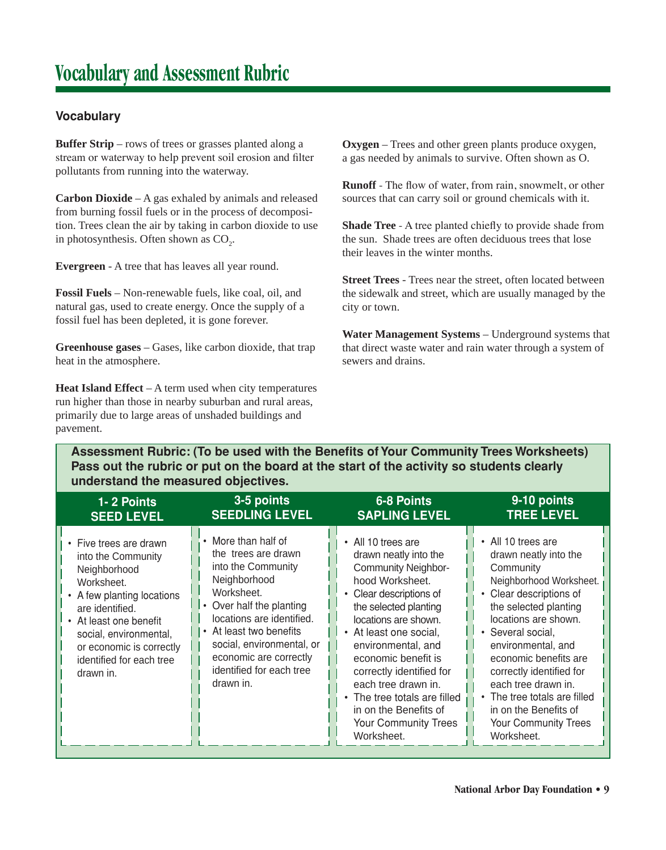### **Vocabulary**

**Buffer Strip** – rows of trees or grasses planted along a stream or waterway to help prevent soil erosion and filter pollutants from running into the waterway.

**Carbon Dioxide** – A gas exhaled by animals and released from burning fossil fuels or in the process of decomposition. Trees clean the air by taking in carbon dioxide to use in photosynthesis. Often shown as  $CO<sub>2</sub>$ .

**Evergreen** - A tree that has leaves all year round.

**Fossil Fuels** – Non-renewable fuels, like coal, oil, and natural gas, used to create energy. Once the supply of a fossil fuel has been depleted, it is gone forever.

**Greenhouse gases** – Gases, like carbon dioxide, that trap heat in the atmosphere.

**Heat Island Effect** – A term used when city temperatures run higher than those in nearby suburban and rural areas, primarily due to large areas of unshaded buildings and pavement.

**Oxygen** – Trees and other green plants produce oxygen, a gas needed by animals to survive. Often shown as O.

**Runoff** - The flow of water, from rain, snowmelt, or other sources that can carry soil or ground chemicals with it.

**Shade Tree** - A tree planted chiefly to provide shade from the sun. Shade trees are often deciduous trees that lose their leaves in the winter months.

**Street Trees** - Trees near the street, often located between the sidewalk and street, which are usually managed by the city or town.

**Water Management Systems** – Underground systems that that direct waste water and rain water through a system of sewers and drains.

**Assessment Rubric: (To be used with the Benefits of Your Community Trees Worksheets) Pass out the rubric or put on the board at the start of the activity so students clearly understand the measured objectives.**

| 1-2 Points                                                                                                                                                                                                                                         | 3-5 points                                                                                                                                                                                                                                                                         | $6-8$ Points                                                                                                                                                                                                                                                                                                                                                                                       | $9-10$ points                                                                                                                                                                                                                                                                                                                                                                        |
|----------------------------------------------------------------------------------------------------------------------------------------------------------------------------------------------------------------------------------------------------|------------------------------------------------------------------------------------------------------------------------------------------------------------------------------------------------------------------------------------------------------------------------------------|----------------------------------------------------------------------------------------------------------------------------------------------------------------------------------------------------------------------------------------------------------------------------------------------------------------------------------------------------------------------------------------------------|--------------------------------------------------------------------------------------------------------------------------------------------------------------------------------------------------------------------------------------------------------------------------------------------------------------------------------------------------------------------------------------|
| <b>SEED LEVEL</b>                                                                                                                                                                                                                                  | <b>SEEDLING LEVEL</b>                                                                                                                                                                                                                                                              | <b>SAPLING LEVEL</b>                                                                                                                                                                                                                                                                                                                                                                               | <b>TREE LEVEL</b>                                                                                                                                                                                                                                                                                                                                                                    |
| • Five trees are drawn<br>into the Community<br>Neighborhood<br>Worksheet.<br>• A few planting locations<br>are identified.<br>At least one benefit<br>social, environmental,<br>or economic is correctly<br>identified for each tree<br>drawn in. | • More than half of<br>the trees are drawn<br>into the Community<br>Neighborhood<br>Worksheet.<br>• Over half the planting<br>locations are identified.<br>• At least two benefits<br>social, environmental, or<br>economic are correctly<br>identified for each tree<br>drawn in. | All 10 trees are<br>drawn neatly into the<br><b>Community Neighbor-</b><br>hood Worksheet.<br>Clear descriptions of<br>the selected planting<br>locations are shown.<br>• At least one social,<br>environmental, and<br>economic benefit is<br>correctly identified for<br>each tree drawn in.<br>The tree totals are filled<br>in on the Benefits of<br><b>Your Community Trees</b><br>Worksheet. | All 10 trees are<br>drawn neatly into the<br>Community<br>Neighborhood Worksheet.<br>Clear descriptions of<br>the selected planting<br>locations are shown.<br>Several social,<br>environmental, and<br>economic benefits are<br>correctly identified for<br>each tree drawn in.<br>The tree totals are filled<br>in on the Benefits of<br><b>Your Community Trees</b><br>Worksheet. |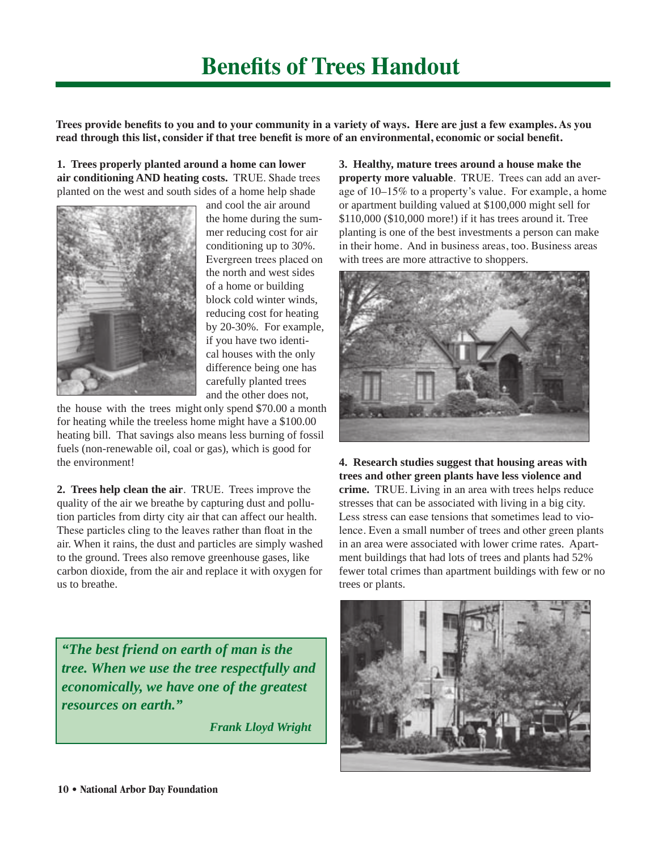**Trees provide benefits to you and to your community in a variety of ways. Here are just a few examples. As you read through this list, consider if that tree benefit is more of an environmental, economic or social benefit.** 

**1. Trees properly planted around a home can lower air conditioning AND heating costs.** TRUE. Shade trees planted on the west and south sides of a home help shade



and cool the air around the home during the summer reducing cost for air conditioning up to 30%. Evergreen trees placed on the north and west sides of a home or building block cold winter winds, reducing cost for heating by 20-30%. For example, if you have two identical houses with the only difference being one has carefully planted trees and the other does not,

the house with the trees might only spend \$70.00 a month for heating while the treeless home might have a \$100.00 heating bill. That savings also means less burning of fossil fuels (non-renewable oil, coal or gas), which is good for the environment!

**2. Trees help clean the air**. TRUE. Trees improve the quality of the air we breathe by capturing dust and pollution particles from dirty city air that can affect our health. These particles cling to the leaves rather than float in the air. When it rains, the dust and particles are simply washed to the ground. Trees also remove greenhouse gases, like carbon dioxide, from the air and replace it with oxygen for us to breathe.

*"The best friend on earth of man is the tree. When we use the tree respectfully and economically, we have one of the greatest resources on earth."* 

 *Frank Lloyd Wright*

**3. Healthy, mature trees around a house make the property more valuable**. TRUE. Trees can add an average of 10–15% to a property's value. For example, a home or apartment building valued at \$100,000 might sell for \$110,000 (\$10,000 more!) if it has trees around it. Tree planting is one of the best investments a person can make in their home. And in business areas, too. Business areas with trees are more attractive to shoppers.



**4. Research studies suggest that housing areas with trees and other green plants have less violence and crime.** TRUE. Living in an area with trees helps reduce stresses that can be associated with living in a big city. Less stress can ease tensions that sometimes lead to violence. Even a small number of trees and other green plants in an area were associated with lower crime rates. Apartment buildings that had lots of trees and plants had 52% fewer total crimes than apartment buildings with few or no trees or plants.

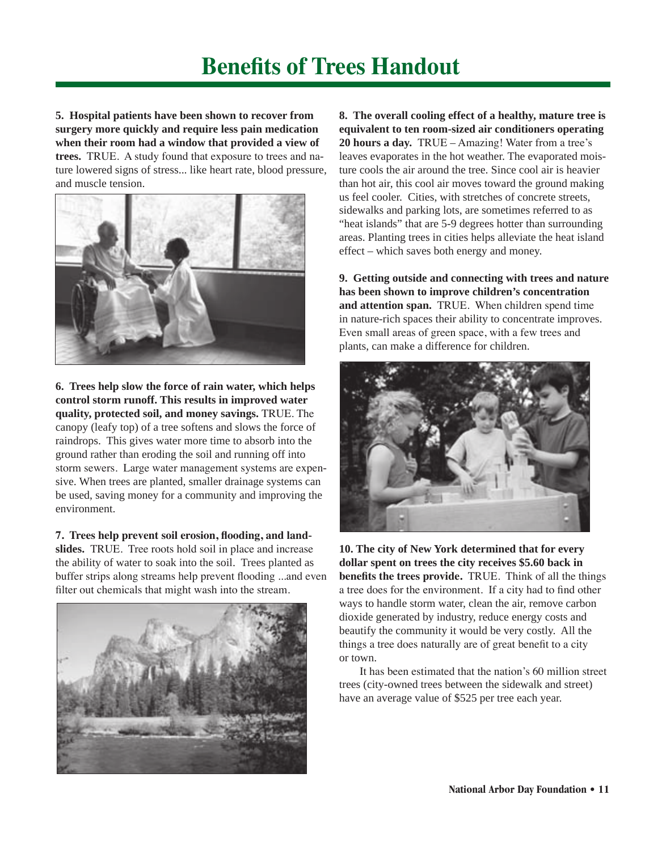# **Benefits of Trees Handout**

**5. Hospital patients have been shown to recover from surgery more quickly and require less pain medication when their room had a window that provided a view of trees.** TRUE. A study found that exposure to trees and nature lowered signs of stress... like heart rate, blood pressure, and muscle tension.



**6. Trees help slow the force of rain water, which helps control storm runoff. This results in improved water quality, protected soil, and money savings.** TRUE. The canopy (leafy top) of a tree softens and slows the force of raindrops. This gives water more time to absorb into the ground rather than eroding the soil and running off into storm sewers. Large water management systems are expensive. When trees are planted, smaller drainage systems can be used, saving money for a community and improving the environment.

**7. Trees help prevent soil erosion, flooding, and landslides.** TRUE. Tree roots hold soil in place and increase the ability of water to soak into the soil. Trees planted as buffer strips along streams help prevent flooding ...and even filter out chemicals that might wash into the stream.



**8. The overall cooling effect of a healthy, mature tree is equivalent to ten room-sized air conditioners operating 20 hours a day.** TRUE – Amazing! Water from a tree's leaves evaporates in the hot weather. The evaporated moisture cools the air around the tree. Since cool air is heavier than hot air, this cool air moves toward the ground making us feel cooler. Cities, with stretches of concrete streets, sidewalks and parking lots, are sometimes referred to as "heat islands" that are 5-9 degrees hotter than surrounding areas. Planting trees in cities helps alleviate the heat island effect – which saves both energy and money.

**9. Getting outside and connecting with trees and nature has been shown to improve children's concentration and attention span.** TRUE. When children spend time in nature-rich spaces their ability to concentrate improves. Even small areas of green space, with a few trees and plants, can make a difference for children.



**10. The city of New York determined that for every dollar spent on trees the city receives \$5.60 back in benefits the trees provide.** TRUE. Think of all the things a tree does for the environment. If a city had to find other ways to handle storm water, clean the air, remove carbon dioxide generated by industry, reduce energy costs and beautify the community it would be very costly. All the things a tree does naturally are of great benefit to a city or town.

It has been estimated that the nation's 60 million street trees (city-owned trees between the sidewalk and street) have an average value of \$525 per tree each year.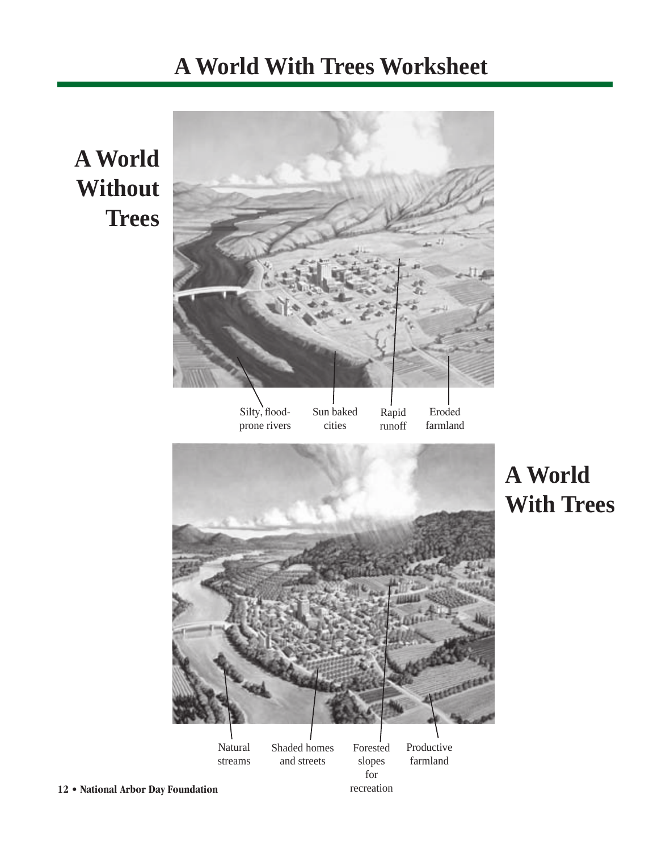# **A World With Trees Worksheet**

**A World Without Trees**

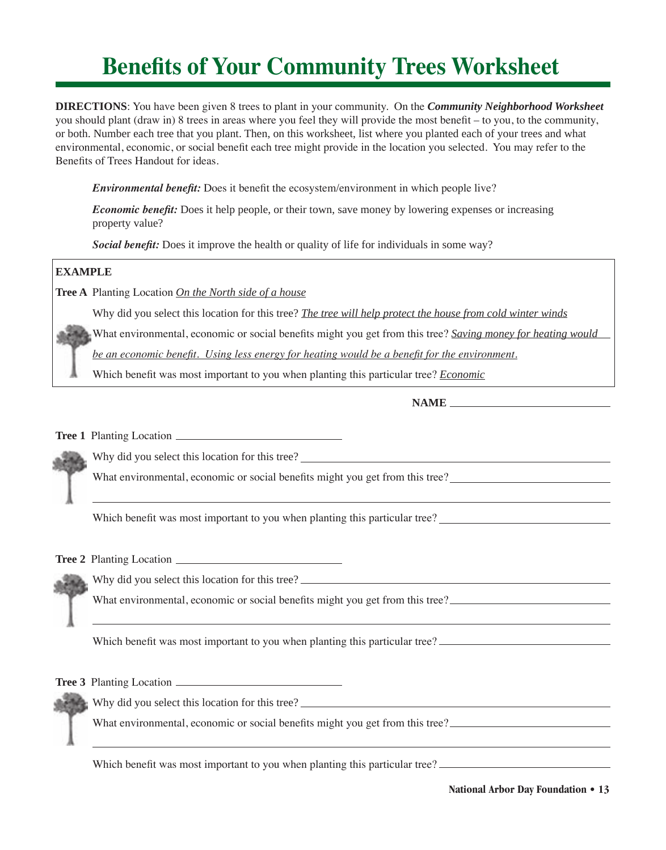# **Benefits of Your Community Trees Worksheet**

**DIRECTIONS**: You have been given 8 trees to plant in your community. On the *Community Neighborhood Worksheet*  you should plant (draw in) 8 trees in areas where you feel they will provide the most benefit – to you, to the community, or both. Number each tree that you plant. Then, on this worksheet, list where you planted each of your trees and what environmental, economic, or social benefit each tree might provide in the location you selected. You may refer to the Benefits of Trees Handout for ideas.

*Environmental benefit:* Does it benefit the ecosystem/environment in which people live?

*Economic benefit:* Does it help people, or their town, save money by lowering expenses or increasing property value?

*Social benefit:* Does it improve the health or quality of life for individuals in some way?

### **EXAMPLE**

**Tree A** Planting Location *On the North side of a house*

Why did you select this location for this tree? *The tree will help protect the house from cold winter winds*

What environmental, economic or social benefits might you get from this tree? *Saving money for heating would* 

*be an economic benefit. Using less energy for heating would be a benefit for the environment.*

Which benefit was most important to you when planting this particular tree? *Economic*

### **NAME**

**Tree 1** Planting Location



Why did you select this location for this tree?

What environmental, economic or social benefits might you get from this tree?

Which benefit was most important to you when planting this particular tree?

**Tree 2** Planting Location

Why did you select this location for this tree?

What environmental, economic or social benefits might you get from this tree?

Which benefit was most important to you when planting this particular tree?

**Tree 3** Planting Location

Why did you select this location for this tree?

What environmental, economic or social benefits might you get from this tree?

Which benefit was most important to you when planting this particular tree?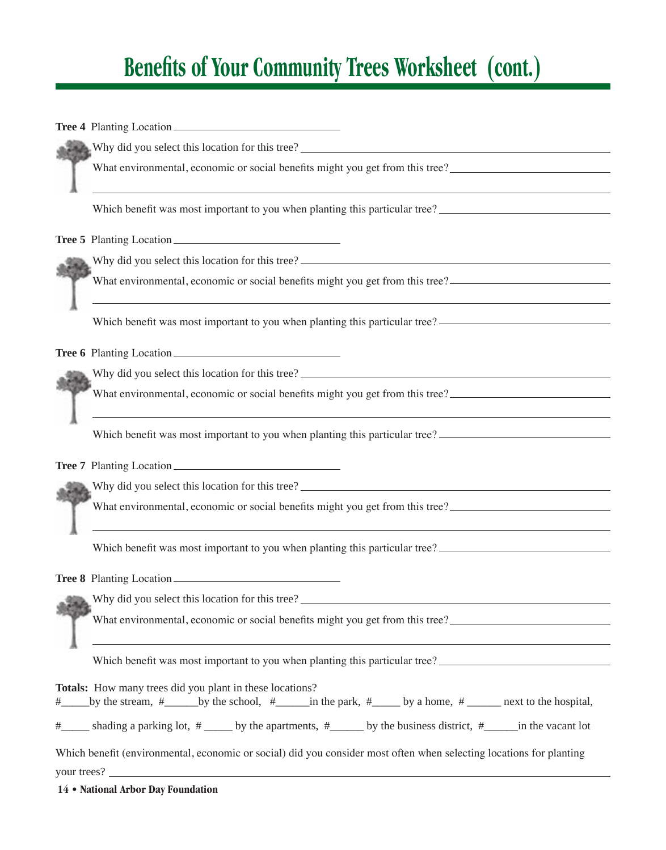# **Benefits of Your Community Trees Worksheet (cont.)**

**Tree 4** Planting Location

Why did you select this location for this tree?

What environmental, economic or social benefits might you get from this tree?

Which benefit was most important to you when planting this particular tree?

**Tree 5** Planting Location

Why did you select this location for this tree?

What environmental, economic or social benefits might you get from this tree?

Which benefit was most important to you when planting this particular tree?

Tree 6 Planting Location

Why did you select this location for this tree?

What environmental, economic or social benefits might you get from this tree?

Which benefit was most important to you when planting this particular tree?

**Tree 7** Planting Location

Why did you select this location for this tree?

What environmental, economic or social benefits might you get from this tree?

Which benefit was most important to you when planting this particular tree?

**Tree 8** Planting Location

Why did you select this location for this tree?

What environmental, economic or social benefits might you get from this tree?

Which benefit was most important to you when planting this particular tree?

**Totals:** How many trees did you plant in these locations? #\_\_\_\_\_by the stream, #\_\_\_\_\_\_by the school, #\_\_\_\_\_\_in the park, #\_\_\_\_\_ by a home, # \_\_\_\_\_\_ next to the hospital,  $\frac{\#$  shading a parking lot,  $\frac{\#}{\#}$  by the apartments,  $\frac{\#}{\#}$  by the business district,  $\frac{\#}{\#}$  in the vacant lot Which benefit (environmental, economic or social) did you consider most often when selecting locations for planting your trees?

**14 • National Arbor Day Foundation**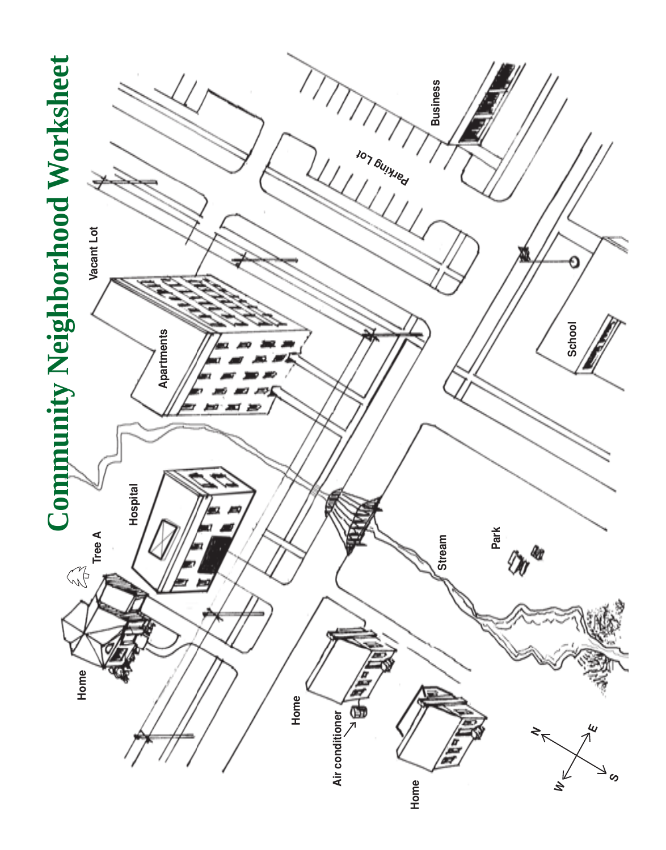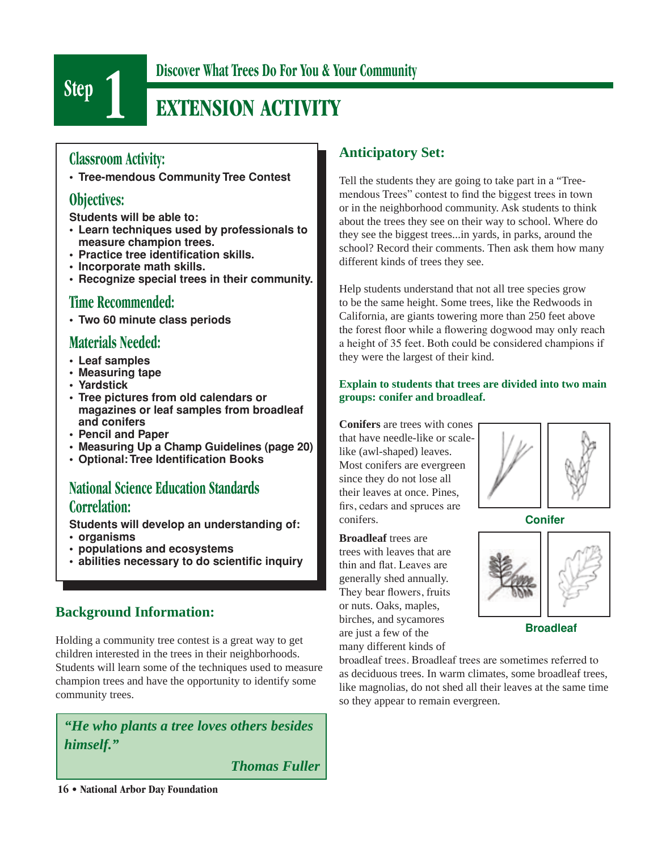

# **Step 1 Discover What Trees Do For You & Your Community**<br>**EXTENSION ACTIVITY EXTENSION ACTIVITY**

### **Classroom Activity:**

**• Tree-mendous Community Tree Contest**

### **Objectives:**

**Students will be able to:**

- **• Learn techniques used by professionals to measure champion trees.**
- **• Practice tree identification skills.**
- **• Incorporate math skills.**
- **• Recognize special trees in their community.**

### **Time Recommended:**

**• Two 60 minute class periods**

### **Materials Needed:**

- **• Leaf samples**
- **• Measuring tape**
- **Yardstick**
- **• Tree pictures from old calendars or magazines or leaf samples from broadleaf and conifers**
- **Pencil and Paper**
- **• Measuring Up a Champ Guidelines (page 20)**
- **• Optional: Tree Identification Books**

## **National Science Education Standards Correlation:**

**Students will develop an understanding of:** 

- **• organisms**
- **• populations and ecosystems**
- **• abilities necessary to do scientific inquiry**

### **Background Information:**

Holding a community tree contest is a great way to get children interested in the trees in their neighborhoods. Students will learn some of the techniques used to measure champion trees and have the opportunity to identify some community trees.

*"He who plants a tree loves others besides himself."* 

 *Thomas Fuller*

## **Anticipatory Set:**

Tell the students they are going to take part in a "Treemendous Trees" contest to find the biggest trees in town or in the neighborhood community. Ask students to think about the trees they see on their way to school. Where do they see the biggest trees...in yards, in parks, around the school? Record their comments. Then ask them how many

different kinds of trees they see.<br> **Help students understand that no**<br>
to be the same height. Some tree<br>
California, are giants towering m Help students understand that not all tree species grow to be the same height. Some trees, like the Redwoods in California, are giants towering more than 250 feet above the forest floor while a flowering dogwood may only reach a height of 35 feet. Both could be considered champions if they were the largest of their kind.

### **Explain to students that trees are divided into two main groups: conifer and broadleaf.**

**Conifers** are trees with cones that have needle-like or scalelike (awl-shaped) leaves. Most conifers are evergreen since they do not lose all their leaves at once. Pines, firs, cedars and spruces are conifers.

**Broadleaf** trees are trees with leaves that are thin and flat. Leaves are generally shed annually. They bear flowers, fruits or nuts. Oaks, maples, birches, and sycamores are just a few of the many different kinds of



**Conifer**



**Broadleaf**

broadleaf trees. Broadleaf trees are sometimes referred to as deciduous trees. In warm climates, some broadleaf trees, like magnolias, do not shed all their leaves at the same time so they appear to remain evergreen.

**16 • National Arbor Day Foundation**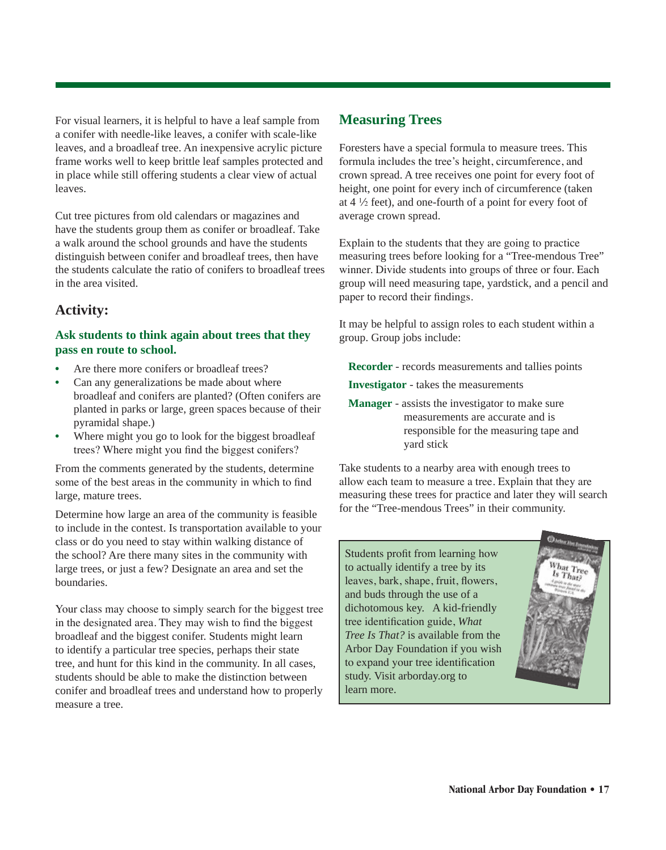For visual learners, it is helpful to have a leaf sample from a conifer with needle-like leaves, a conifer with scale-like leaves, and a broadleaf tree. An inexpensive acrylic picture frame works well to keep brittle leaf samples protected and in place while still offering students a clear view of actual leaves.

Cut tree pictures from old calendars or magazines and have the students group them as conifer or broadleaf. Take a walk around the school grounds and have the students distinguish between conifer and broadleaf trees, then have the students calculate the ratio of conifers to broadleaf trees in the area visited.

### **Activity:**

### **Ask students to think again about trees that they pass en route to school.**

- Are there more conifers or broadleaf trees?
- Can any generalizations be made about where broadleaf and conifers are planted? (Often conifers are planted in parks or large, green spaces because of their pyramidal shape.)
- Where might you go to look for the biggest broadleaf trees? Where might you find the biggest conifers?

From the comments generated by the students, determine some of the best areas in the community in which to find large, mature trees.

Determine how large an area of the community is feasible to include in the contest. Is transportation available to your class or do you need to stay within walking distance of the school? Are there many sites in the community with large trees, or just a few? Designate an area and set the boundaries.

Your class may choose to simply search for the biggest tree in the designated area. They may wish to find the biggest broadleaf and the biggest conifer. Students might learn to identify a particular tree species, perhaps their state tree, and hunt for this kind in the community. In all cases, students should be able to make the distinction between conifer and broadleaf trees and understand how to properly measure a tree.

### **Measuring Trees**

Foresters have a special formula to measure trees. This formula includes the tree's height, circumference, and crown spread. A tree receives one point for every foot of height, one point for every inch of circumference (taken at  $4\frac{1}{2}$  feet), and one-fourth of a point for every foot of average crown spread.

Explain to the students that they are going to practice measuring trees before looking for a "Tree-mendous Tree" winner. Divide students into groups of three or four. Each group will need measuring tape, yardstick, and a pencil and paper to record their findings.

It may be helpful to assign roles to each student within a group. Group jobs include:

**Recorder** - records measurements and tallies points

**Investigator** - takes the measurements

**Manager** - assists the investigator to make sure measurements are accurate and is responsible for the measuring tape and yard stick

Take students to a nearby area with enough trees to allow each team to measure a tree. Explain that they are measuring these trees for practice and later they will search for the "Tree-mendous Trees" in their community.

Students profit from learning how to actually identify a tree by its leaves, bark, shape, fruit, flowers, and buds through the use of a dichotomous key. A kid-friendly tree identification guide, *What Tree Is That?* is available from the Arbor Day Foundation if you wish to expand your tree identification study. Visit arborday.org to learn more.

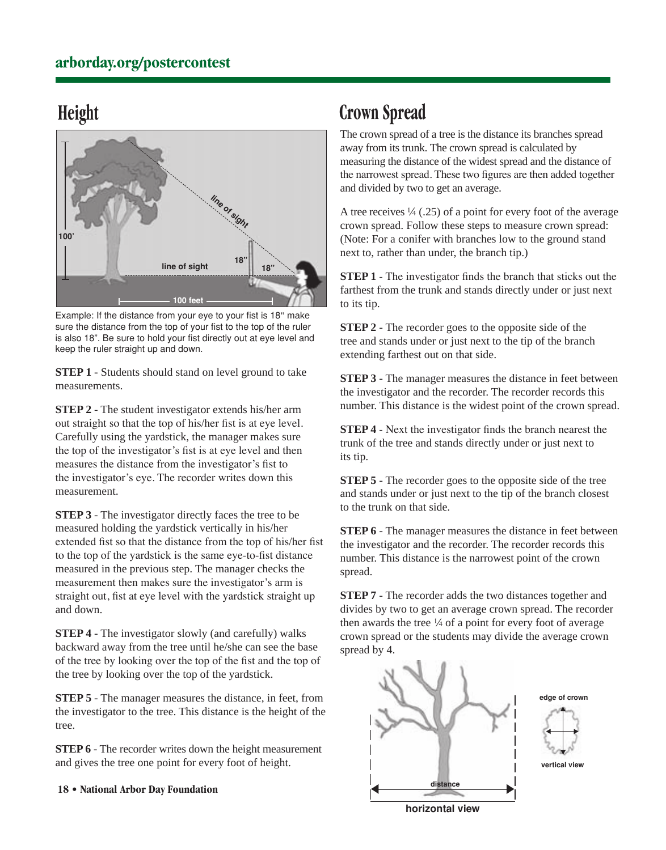## **Height**



Example: If the distance from your eye to your fist is 18**"** make sure the distance from the top of your fist to the top of the ruler is also 18". Be sure to hold your fist directly out at eye level and keep the ruler straight up and down.

**STEP 1** - Students should stand on level ground to take measurements.

**STEP 2** - The student investigator extends his/her arm out straight so that the top of his/her fist is at eye level. Carefully using the yardstick, the manager makes sure the top of the investigator's fist is at eye level and then measures the distance from the investigator's fist to the investigator's eye. The recorder writes down this measurement.

**STEP 3** - The investigator directly faces the tree to be measured holding the yardstick vertically in his/her extended fist so that the distance from the top of his/her fist to the top of the yardstick is the same eye-to-fist distance measured in the previous step. The manager checks the measurement then makes sure the investigator's arm is straight out, fist at eye level with the yardstick straight up and down.

**STEP 4** - The investigator slowly (and carefully) walks backward away from the tree until he/she can see the base of the tree by looking over the top of the fist and the top of the tree by looking over the top of the yardstick.

**STEP 5** - The manager measures the distance, in feet, from the investigator to the tree. This distance is the height of the tree.

**STEP 6** - The recorder writes down the height measurement and gives the tree one point for every foot of height.

**18 • National Arbor Day Foundation**

## **Crown Spread**

The crown spread of a tree is the distance its branches spread away from its trunk. The crown spread is calculated by measuring the distance of the widest spread and the distance of the narrowest spread. These two figures are then added together and divided by two to get an average.

A tree receives  $\frac{1}{4}$  (.25) of a point for every foot of the average crown spread. Follow these steps to measure crown spread: (Note: For a conifer with branches low to the ground stand next to, rather than under, the branch tip.)

**STEP 1** - The investigator finds the branch that sticks out the farthest from the trunk and stands directly under or just next to its tip.

**STEP 2** - The recorder goes to the opposite side of the tree and stands under or just next to the tip of the branch extending farthest out on that side.

**STEP 3** - The manager measures the distance in feet between the investigator and the recorder. The recorder records this number. This distance is the widest point of the crown spread.

**STEP 4** - Next the investigator finds the branch nearest the trunk of the tree and stands directly under or just next to its tip.

**STEP 5** - The recorder goes to the opposite side of the tree and stands under or just next to the tip of the branch closest to the trunk on that side.

**STEP 6** - The manager measures the distance in feet between the investigator and the recorder. The recorder records this number. This distance is the narrowest point of the crown spread.

**STEP 7** - The recorder adds the two distances together and divides by two to get an average crown spread. The recorder then awards the tree  $\frac{1}{4}$  of a point for every foot of average crown spread or the students may divide the average crown spread by 4.



**horizontal view**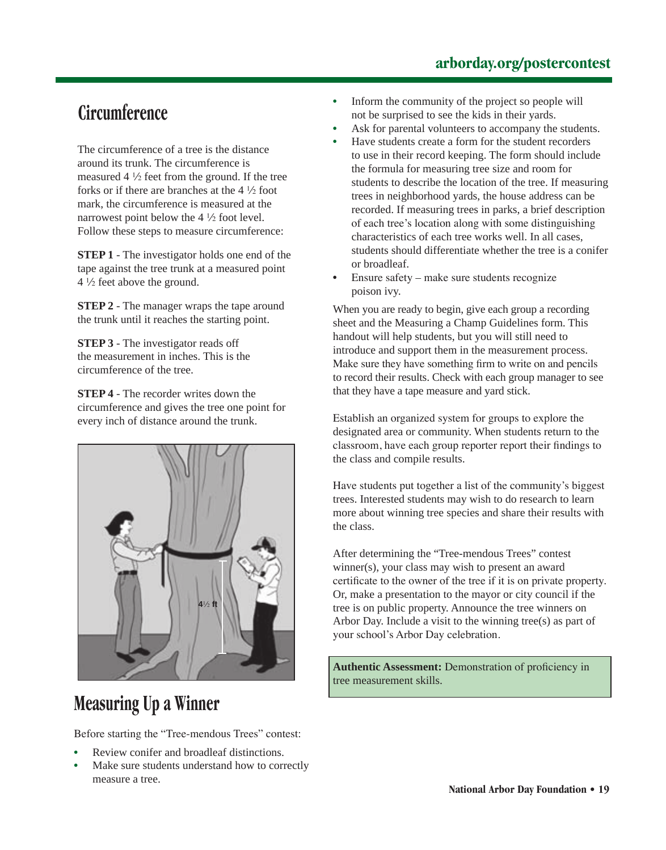## **arborday.org/postercontest**

## **Circumference**

The circumference of a tree is the distance around its trunk. The circumference is measured  $4\frac{1}{2}$  feet from the ground. If the tree forks or if there are branches at the  $4\frac{1}{2}$  foot mark, the circumference is measured at the narrowest point below the  $4\frac{1}{2}$  foot level. Follow these steps to measure circumference:

**STEP 1** - The investigator holds one end of the tape against the tree trunk at a measured point 4 1/2 feet above the ground.

**STEP 2** - The manager wraps the tape around the trunk until it reaches the starting point.

**STEP 3** - The investigator reads off the measurement in inches. This is the circumference of the tree.

**STEP 4** - The recorder writes down the circumference and gives the tree one point for every inch of distance around the trunk.



# **Measuring Up a Winner**

Before starting the "Tree-mendous Trees" contest:

- Review conifer and broadleaf distinctions.
- Make sure students understand how to correctly measure a tree.
- Inform the community of the project so people will not be surprised to see the kids in their yards.
- Ask for parental volunteers to accompany the students.
- Have students create a form for the student recorders to use in their record keeping. The form should include the formula for measuring tree size and room for students to describe the location of the tree. If measuring trees in neighborhood yards, the house address can be recorded. If measuring trees in parks, a brief description of each tree's location along with some distinguishing characteristics of each tree works well. In all cases, students should differentiate whether the tree is a conifer or broadleaf.
- Ensure safety make sure students recognize poison ivy.

When you are ready to begin, give each group a recording sheet and the Measuring a Champ Guidelines form. This handout will help students, but you will still need to introduce and support them in the measurement process. Make sure they have something firm to write on and pencils to record their results. Check with each group manager to see that they have a tape measure and yard stick.

Establish an organized system for groups to explore the designated area or community. When students return to the classroom, have each group reporter report their findings to the class and compile results.

Have students put together a list of the community's biggest trees. Interested students may wish to do research to learn more about winning tree species and share their results with the class.

After determining the "Tree-mendous Trees" contest winner(s), your class may wish to present an award certificate to the owner of the tree if it is on private property. Or, make a presentation to the mayor or city council if the tree is on public property. Announce the tree winners on Arbor Day. Include a visit to the winning tree(s) as part of your school's Arbor Day celebration.

**Authentic Assessment:** Demonstration of proficiency in tree measurement skills.